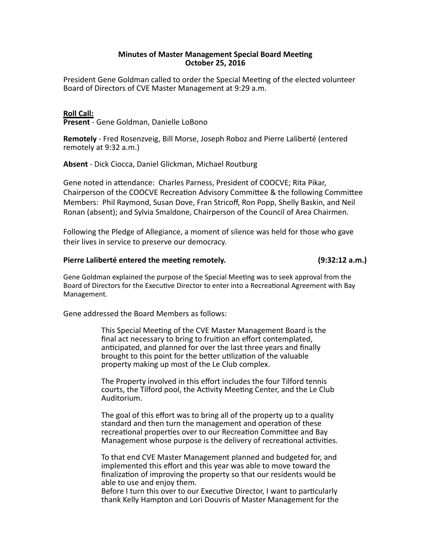## **Minutes of Master Management Special Board Meeting October 25, 2016**

President Gene Goldman called to order the Special Meeting of the elected volunteer Board of Directors of CVE Master Management at 9:29 a.m.

# **Roll Call:**

**Present** - Gene Goldman, Danielle LoBono

Remotely - Fred Rosenzveig, Bill Morse, Joseph Roboz and Pierre Laliberté (entered remotely at 9:32 a.m.)

**Absent** - Dick Ciocca, Daniel Glickman, Michael Routburg

Gene noted in attendance: Charles Parness, President of COOCVE; Rita Pikar, Chairperson of the COOCVE Recreation Advisory Committee & the following Committee Members: Phil Raymond, Susan Dove, Fran Stricoff, Ron Popp, Shelly Baskin, and Neil Ronan (absent); and Sylvia Smaldone, Chairperson of the Council of Area Chairmen.

Following the Pledge of Allegiance, a moment of silence was held for those who gave their lives in service to preserve our democracy.

# **Pierre Laliberté entered the mee5ng remotely. (9:32:12 a.m.)**

Gene Goldman explained the purpose of the Special Meeting was to seek approval from the Board of Directors for the Executive Director to enter into a Recreational Agreement with Bay Management.

Gene addressed the Board Members as follows:

This Special Meeting of the CVE Master Management Board is the final act necessary to bring to fruition an effort contemplated, anticipated, and planned for over the last three years and finally brought to this point for the better utilization of the valuable property making up most of the Le Club complex.

The Property involved in this effort includes the four Tilford tennis courts, the Tilford pool, the Activity Meeting Center, and the Le Club Auditorium.

The goal of this effort was to bring all of the property up to a quality standard and then turn the management and operation of these recreational properties over to our Recreation Committee and Bay Management whose purpose is the delivery of recreational activities.

To that end CVE Master Management planned and budgeted for, and implemented this effort and this year was able to move toward the finalization of improving the property so that our residents would be able to use and enjoy them.

Before I turn this over to our Executive Director, I want to particularly thank Kelly Hampton and Lori Douvris of Master Management for the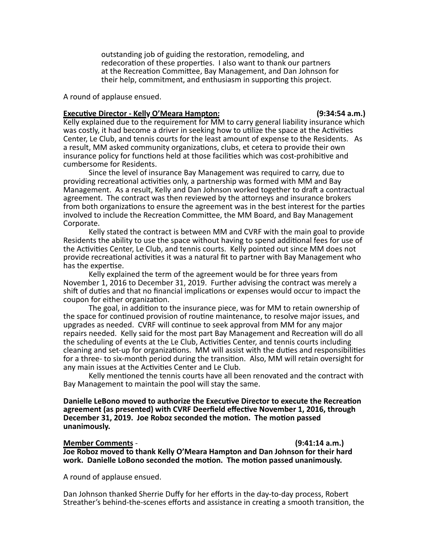outstanding job of guiding the restoration, remodeling, and redecoration of these properties. I also want to thank our partners at the Recreation Committee, Bay Management, and Dan Johnson for their help, commitment, and enthusiasm in supporting this project.

A round of applause ensued.

### **Execu5ve Director - Kelly O'Meara Hampton: (9:34:54 a.m.)**

Kelly explained due to the requirement for MM to carry general liability insurance which was costly, it had become a driver in seeking how to utilize the space at the Activities Center, Le Club, and tennis courts for the least amount of expense to the Residents. As a result, MM asked community organizations, clubs, et cetera to provide their own insurance policy for functions held at those facilities which was cost-prohibitive and cumbersome for Residents.

Since the level of insurance Bay Management was required to carry, due to providing recreational activities only, a partnership was formed with MM and Bay Management. As a result, Kelly and Dan Johnson worked together to draft a contractual agreement. The contract was then reviewed by the attorneys and insurance brokers from both organizations to ensure the agreement was in the best interest for the parties involved to include the Recreation Committee, the MM Board, and Bay Management Corporate.

Kelly stated the contract is between MM and CVRF with the main goal to provide Residents the ability to use the space without having to spend additional fees for use of the Activities Center, Le Club, and tennis courts. Kelly pointed out since MM does not provide recreational activities it was a natural fit to partner with Bay Management who has the expertise.

Kelly explained the term of the agreement would be for three years from November 1, 2016 to December 31, 2019. Further advising the contract was merely a shift of duties and that no financial implications or expenses would occur to impact the coupon for either organization.

The goal, in addition to the insurance piece, was for MM to retain ownership of the space for continued provision of routine maintenance, to resolve major issues, and upgrades as needed. CVRF will continue to seek approval from MM for any major repairs needed. Kelly said for the most part Bay Management and Recreation will do all the scheduling of events at the Le Club, Activities Center, and tennis courts including cleaning and set-up for organizations. MM will assist with the duties and responsibilities for a three- to six-month period during the transition. Also, MM will retain oversight for any main issues at the Activities Center and Le Club.

Kelly mentioned the tennis courts have all been renovated and the contract with Bay Management to maintain the pool will stay the same.

**Danielle LeBono moved to authorize the Executive Director to execute the Recreation** agreement (as presented) with CVRF Deerfield effective November 1, 2016, through December 31, 2019. Joe Roboz seconded the motion. The motion passed **unanimously.**

**Member Comments** -  **(9:41:14 a.m.) Joe Roboz moved to thank Kelly O'Meara Hampton and Dan Johnson for their hard** work. Danielle LoBono seconded the motion. The motion passed unanimously.

A round of applause ensued.

Dan Johnson thanked Sherrie Duffy for her efforts in the day-to-day process, Robert Streather's behind-the-scenes efforts and assistance in creating a smooth transition, the